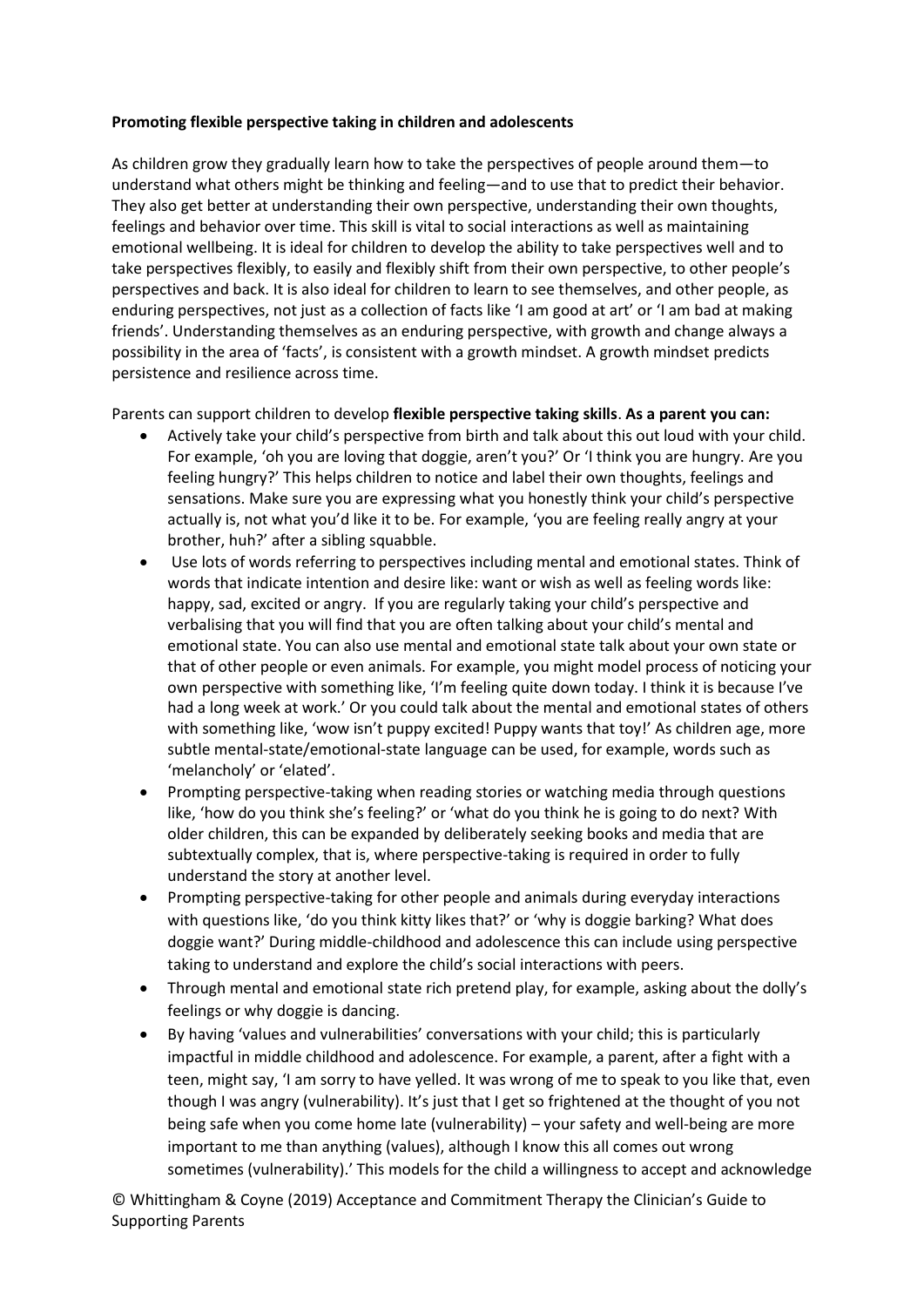## **Promoting flexible perspective taking in children and adolescents**

As children grow they gradually learn how to take the perspectives of people around them—to understand what others might be thinking and feeling—and to use that to predict their behavior. They also get better at understanding their own perspective, understanding their own thoughts, feelings and behavior over time. This skill is vital to social interactions as well as maintaining emotional wellbeing. It is ideal for children to develop the ability to take perspectives well and to take perspectives flexibly, to easily and flexibly shift from their own perspective, to other people's perspectives and back. It is also ideal for children to learn to see themselves, and other people, as enduring perspectives, not just as a collection of facts like 'I am good at art' or 'I am bad at making friends'. Understanding themselves as an enduring perspective, with growth and change always a possibility in the area of 'facts', is consistent with a growth mindset. A growth mindset predicts persistence and resilience across time.

Parents can support children to develop **flexible perspective taking skills**. **As a parent you can:**

- Actively take your child's perspective from birth and talk about this out loud with your child. For example, 'oh you are loving that doggie, aren't you?' Or 'I think you are hungry. Are you feeling hungry?' This helps children to notice and label their own thoughts, feelings and sensations. Make sure you are expressing what you honestly think your child's perspective actually is, not what you'd like it to be. For example, 'you are feeling really angry at your brother, huh?' after a sibling squabble.
- Use lots of words referring to perspectives including mental and emotional states. Think of words that indicate intention and desire like: want or wish as well as feeling words like: happy, sad, excited or angry. If you are regularly taking your child's perspective and verbalising that you will find that you are often talking about your child's mental and emotional state. You can also use mental and emotional state talk about your own state or that of other people or even animals. For example, you might model process of noticing your own perspective with something like, 'I'm feeling quite down today. I think it is because I've had a long week at work.' Or you could talk about the mental and emotional states of others with something like, 'wow isn't puppy excited! Puppy wants that toy!' As children age, more subtle mental-state/emotional-state language can be used, for example, words such as 'melancholy' or 'elated'.
- Prompting perspective-taking when reading stories or watching media through questions like, 'how do you think she's feeling?' or 'what do you think he is going to do next? With older children, this can be expanded by deliberately seeking books and media that are subtextually complex, that is, where perspective-taking is required in order to fully understand the story at another level.
- Prompting perspective-taking for other people and animals during everyday interactions with questions like, 'do you think kitty likes that?' or 'why is doggie barking? What does doggie want?' During middle-childhood and adolescence this can include using perspective taking to understand and explore the child's social interactions with peers.
- Through mental and emotional state rich pretend play, for example, asking about the dolly's feelings or why doggie is dancing.
- By having 'values and vulnerabilities' conversations with your child; this is particularly impactful in middle childhood and adolescence. For example, a parent, after a fight with a teen, might say, 'I am sorry to have yelled. It was wrong of me to speak to you like that, even though I was angry (vulnerability). It's just that I get so frightened at the thought of you not being safe when you come home late (vulnerability) – your safety and well-being are more important to me than anything (values), although I know this all comes out wrong sometimes (vulnerability).' This models for the child a willingness to accept and acknowledge

© Whittingham & Coyne (2019) Acceptance and Commitment Therapy the Clinician's Guide to Supporting Parents